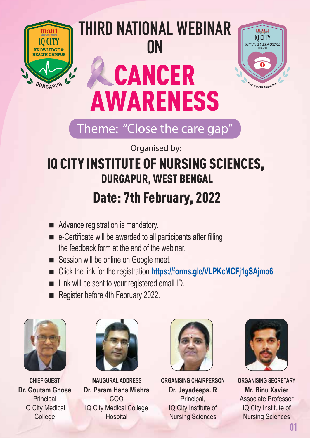

# **THIRD NATIONAL WEBINAR ON** CANCER AWARENESS



# Theme: "Close the care gap"

Organised by:

# IQ CITY INSTITUTE OF NURSING SCIENCES, DURGAPUR, WEST BENGAL Date: 7th February, 2022

- Advance registration is mandatory.
- $\blacksquare$  e-Certificate will be awarded to all participants after filling the feedback form at the end of the webinar.
- Session will be online on Google meet.
- Click the link for the registration **<https://forms.gle/VLPKcMCFj1gSAjmo6>**
- $\blacksquare$  Link will be sent to your registered email ID.
- Register before 4th February 2022.





**CHIEF GUEST INAUGURAL ADDRESS ORGANISING CHAIRPERSON ORGANISING SECRETARY Dr. Goutam Ghose Dr. Param Hans Mishra Dr. Jeyadeepa. R Mr. Binu Xavier** Principal COO Principal, Associate Professor IQ City Medical IQ City Medical College IQ City Institute of IQ City Institute of **College College Hospital Hospital Nursing Sciences Nursing Sciences** 



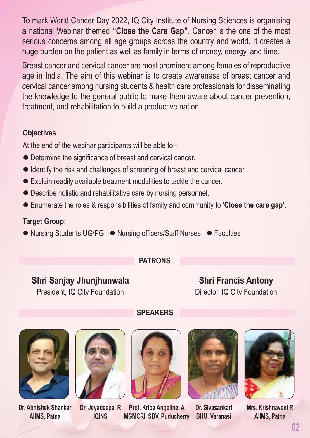To mark World Cancer Day 2022, IQ City Institute of Nursing Sciences is organising a national Webinar themed **"Close the Care Gap"**. Cancer is the one of the most serious concerns among all age groups across the country and world. It creates a huge burden on the patient as well as family in terms of money, energy, and time.

Breast cancer and cervical cancer are most prominent among females of reproductive age in India. The aim of this webinar is to create awareness of breast cancer and cervical cancer among nursing students & health care professionals for disseminating the knowledge to the general public to make them aware about cancer prevention, treatment, and rehabilitation to build a productive nation.

### **Objectives**

At the end of the webinar participants will be able to:-

- Determine the significance of breast and cervical cancer.
- Identify the risk and challenges of screening of breast and cervical cancer.
- Explain readily available treatment modalities to tackle the cancer.
- Describe holistic and rehabilitative care by nursing personnel.
- Enumerate the roles & responsibilities of family and community to '**Close the care gap'**.

### **Target Group:**

● Nursing Students UG/PG ● Nursing officers/Staff Nurses ● Faculties

### **PATRONS**

**SPEAKERS**

### **Shri Sanjay Jhunjhunwala**

President, IQ City Foundation

**Shri Francis Antony** Director, IQ City Foundation







**Dr. Abhishek Shankar Dr. Jeyadeepa. R Prof. Kripa Angeline. A Dr. Sivasankari Mrs. Krishnaveni R AIIMS, Patna IQINS MGMCRI, SBV, Puducherry BHU, Varanasi AIIMS, Patna**



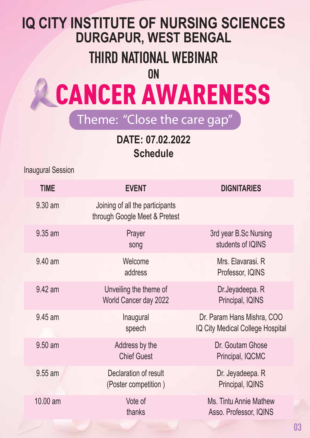# **IQ CITY INSTITUTE OF NURSING SCIENCES DURGAPUR, WEST BENGAL**

# **THIRD NATIONAL WEBINAR**

**ON**

# CANCER AWARENESS

## Theme: "Close the care gap"

**DATE: 07.02.2022 Schedule**

Inaugural Session

| <b>TIME</b> | <b>EVENT</b>                                                     | <b>DIGNITARIES</b>                                             |
|-------------|------------------------------------------------------------------|----------------------------------------------------------------|
| 9.30 am     | Joining of all the participants<br>through Google Meet & Pretest |                                                                |
| 9.35 am     | Prayer<br>song                                                   | 3rd year B.Sc Nursing<br>students of IQINS                     |
| 9.40 am     | Welcome<br>address                                               | Mrs. Elavarasi. R<br>Professor, IQINS                          |
| 9.42 am     | Unveiling the theme of<br>World Cancer day 2022                  | Dr.Jeyadeepa. R<br>Principal, IQINS                            |
| 9.45 am     | Inaugural<br>speech                                              | Dr. Param Hans Mishra, COO<br>IQ City Medical College Hospital |
| 9.50 am     | Address by the<br><b>Chief Guest</b>                             | Dr. Goutam Ghose<br>Principal, IQCMC                           |
| 9.55 am     | Declaration of result<br>(Poster competition)                    | Dr. Jeyadeepa. R<br>Principal, IQINS                           |
| 10.00 am    | Vote of<br>thanks                                                | Ms. Tintu Annie Mathew<br>Asso. Professor, IQINS               |